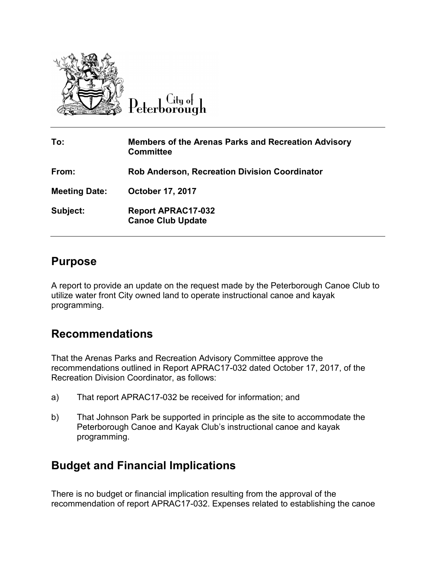

City of Peterborough

| To:                  | <b>Members of the Arenas Parks and Recreation Advisory</b><br><b>Committee</b> |
|----------------------|--------------------------------------------------------------------------------|
| From:                | <b>Rob Anderson, Recreation Division Coordinator</b>                           |
| <b>Meeting Date:</b> | <b>October 17, 2017</b>                                                        |
| Subject:             | <b>Report APRAC17-032</b><br><b>Canoe Club Update</b>                          |

### **Purpose**

A report to provide an update on the request made by the Peterborough Canoe Club to utilize water front City owned land to operate instructional canoe and kayak programming.

### **Recommendations**

That the Arenas Parks and Recreation Advisory Committee approve the recommendations outlined in Report APRAC17-032 dated October 17, 2017, of the Recreation Division Coordinator, as follows:

- a) That report APRAC17-032 be received for information; and
- b) That Johnson Park be supported in principle as the site to accommodate the Peterborough Canoe and Kayak Club's instructional canoe and kayak programming.

# **Budget and Financial Implications**

There is no budget or financial implication resulting from the approval of the recommendation of report APRAC17-032. Expenses related to establishing the canoe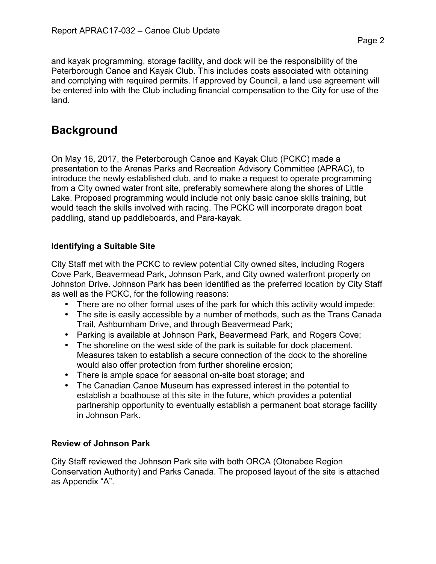and kayak programming, storage facility, and dock will be the responsibility of the Peterborough Canoe and Kayak Club. This includes costs associated with obtaining and complying with required permits. If approved by Council, a land use agreement will be entered into with the Club including financial compensation to the City for use of the land.

# **Background**

On May 16, 2017, the Peterborough Canoe and Kayak Club (PCKC) made a presentation to the Arenas Parks and Recreation Advisory Committee (APRAC), to introduce the newly established club, and to make a request to operate programming from a City owned water front site, preferably somewhere along the shores of Little Lake. Proposed programming would include not only basic canoe skills training, but would teach the skills involved with racing. The PCKC will incorporate dragon boat paddling, stand up paddleboards, and Para-kayak.

#### **Identifying a Suitable Site**

City Staff met with the PCKC to review potential City owned sites, including Rogers Cove Park, Beavermead Park, Johnson Park, and City owned waterfront property on Johnston Drive. Johnson Park has been identified as the preferred location by City Staff as well as the PCKC, for the following reasons:

- There are no other formal uses of the park for which this activity would impede;
- The site is easily accessible by a number of methods, such as the Trans Canada Trail, Ashburnham Drive, and through Beavermead Park;
- Parking is available at Johnson Park, Beavermead Park, and Rogers Cove;
- The shoreline on the west side of the park is suitable for dock placement. Measures taken to establish a secure connection of the dock to the shoreline would also offer protection from further shoreline erosion;
- There is ample space for seasonal on-site boat storage; and
- The Canadian Canoe Museum has expressed interest in the potential to establish a boathouse at this site in the future, which provides a potential partnership opportunity to eventually establish a permanent boat storage facility in Johnson Park.

#### **Review of Johnson Park**

City Staff reviewed the Johnson Park site with both ORCA (Otonabee Region Conservation Authority) and Parks Canada. The proposed layout of the site is attached as Appendix "A".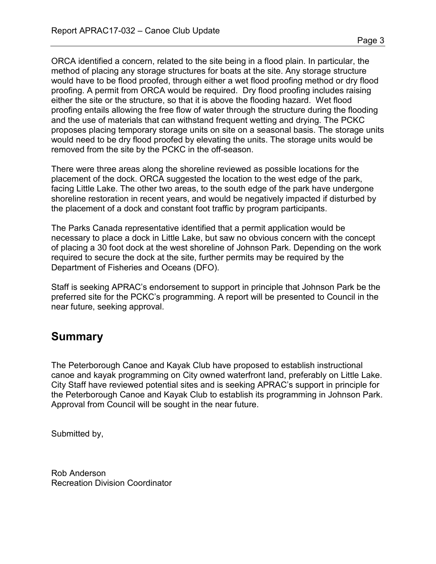Page 3

ORCA identified a concern, related to the site being in a flood plain. In particular, the method of placing any storage structures for boats at the site. Any storage structure would have to be flood proofed, through either a wet flood proofing method or dry flood proofing. A permit from ORCA would be required. Dry flood proofing includes raising either the site or the structure, so that it is above the flooding hazard. Wet flood proofing entails allowing the free flow of water through the structure during the flooding and the use of materials that can withstand frequent wetting and drying. The PCKC proposes placing temporary storage units on site on a seasonal basis. The storage units would need to be dry flood proofed by elevating the units. The storage units would be removed from the site by the PCKC in the off-season.

There were three areas along the shoreline reviewed as possible locations for the placement of the dock. ORCA suggested the location to the west edge of the park, facing Little Lake. The other two areas, to the south edge of the park have undergone shoreline restoration in recent years, and would be negatively impacted if disturbed by the placement of a dock and constant foot traffic by program participants.

The Parks Canada representative identified that a permit application would be necessary to place a dock in Little Lake, but saw no obvious concern with the concept of placing a 30 foot dock at the west shoreline of Johnson Park. Depending on the work required to secure the dock at the site, further permits may be required by the Department of Fisheries and Oceans (DFO).

Staff is seeking APRAC's endorsement to support in principle that Johnson Park be the preferred site for the PCKC's programming. A report will be presented to Council in the near future, seeking approval.

# **Summary**

The Peterborough Canoe and Kayak Club have proposed to establish instructional canoe and kayak programming on City owned waterfront land, preferably on Little Lake. City Staff have reviewed potential sites and is seeking APRAC's support in principle for the Peterborough Canoe and Kayak Club to establish its programming in Johnson Park. Approval from Council will be sought in the near future.

Submitted by,

Rob Anderson Recreation Division Coordinator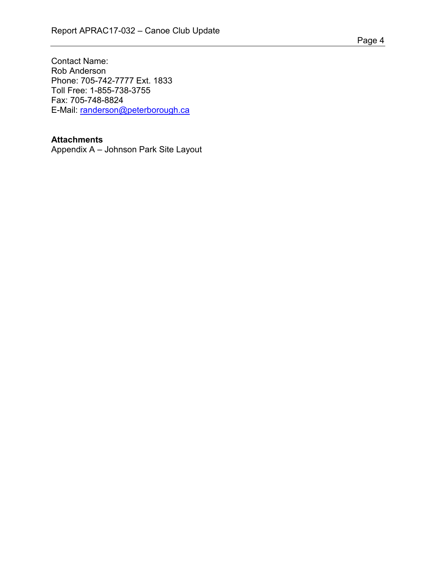Contact Name: Rob Anderson Phone: 705-742-7777 Ext. 1833 Toll Free: 1-855-738-3755 Fax: 705-748-8824 E-Mail: [randerson@peterborough.ca](mailto:randerson@peterborough.ca)

#### **Attachments**

Appendix A – Johnson Park Site Layout